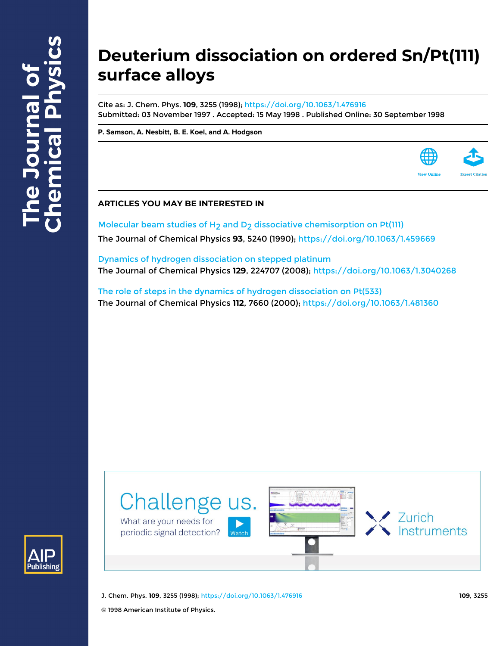# **Deuterium dissociation on ordered Sn/Pt(111) surface alloys**

Cite as: J. Chem. Phys. **109**, 3255 (1998); <https://doi.org/10.1063/1.476916> Submitted: 03 November 1997 . Accepted: 15 May 1998 . Published Online: 30 September 1998

**[P. Samson,](https://aip.scitation.org/author/Samson%2C+P) [A. Nesbitt,](https://aip.scitation.org/author/Nesbitt%2C+A) [B. E. Koel,](https://aip.scitation.org/author/Koel%2C+B+E) and [A. Hodgson](https://aip.scitation.org/author/Hodgson%2C+A)**



Molecular beam studies of  $H_2$  and  $D_2$  dissociative chemisorption on Pt(111) The Journal of Chemical Physics **93**, 5240 (1990);<https://doi.org/10.1063/1.459669>

[Dynamics of hydrogen dissociation on stepped platinum](https://aip.scitation.org/doi/10.1063/1.3040268) The Journal of Chemical Physics **129**, 224707 (2008); <https://doi.org/10.1063/1.3040268>

[The role of steps in the dynamics of hydrogen dissociation on Pt\(533\)](https://aip.scitation.org/doi/10.1063/1.481360) The Journal of Chemical Physics **112**, 7660 (2000);<https://doi.org/10.1063/1.481360>





J. Chem. Phys. **109**, 3255 (1998); <https://doi.org/10.1063/1.476916> **109**, 3255

© 1998 American Institute of Physics.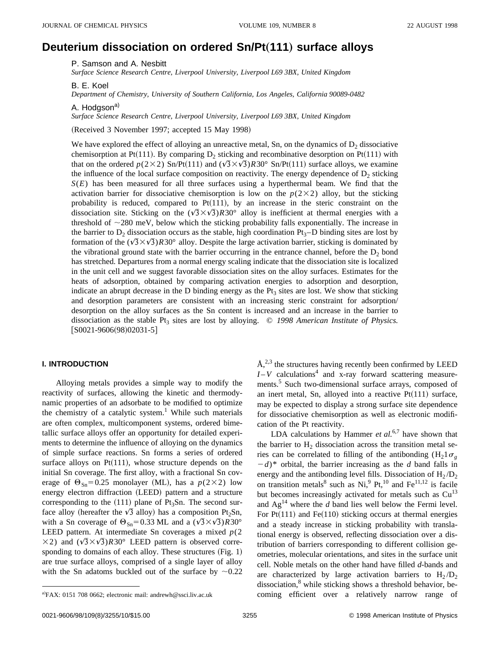# **Deuterium dissociation on ordered Sn/Pt**"**111**… **surface alloys**

P. Samson and A. Nesbitt

*Surface Science Research Centre, Liverpool University, Liverpool L69 3BX, United Kingdom*

B. E. Koel

*Department of Chemistry, University of Southern California, Los Angeles, California 90089-0482*

A. Hodgson<sup>a)</sup>

*Surface Science Research Centre, Liverpool University, Liverpool L69 3BX, United Kingdom*

(Received 3 November 1997; accepted 15 May 1998)

We have explored the effect of alloying an unreactive metal, Sn, on the dynamics of  $D_2$  dissociative chemisorption at Pt<sup> $(111)$ </sup>. By comparing D<sub>2</sub> sticking and recombinative desorption on Pt $(111)$  with that on the ordered  $p(2\times2)$  Sn/Pt(111) and  $(\sqrt{3}\times\sqrt{3})R30^\circ$  Sn/Pt(111) surface alloys, we examine the influence of the local surface composition on reactivity. The energy dependence of  $D<sub>2</sub>$  sticking  $S(E)$  has been measured for all three surfaces using a hyperthermal beam. We find that the activation barrier for dissociative chemisorption is low on the  $p(2\times2)$  alloy, but the sticking probability is reduced, compared to  $Pt(111)$ , by an increase in the steric constraint on the dissociation site. Sticking on the  $(\sqrt{3} \times \sqrt{3})$ *R*30° alloy is inefficient at thermal energies with a threshold of  $\sim$ 280 meV, below which the sticking probability falls exponentially. The increase in the barrier to  $D_2$  dissociation occurs as the stable, high coordination  $Pt_3-D$  binding sites are lost by formation of the  $(\sqrt{3} \times \sqrt{3})$ *R*30° alloy. Despite the large activation barrier, sticking is dominated by the vibrational ground state with the barrier occurring in the entrance channel, before the  $D<sub>2</sub>$  bond has stretched. Departures from a normal energy scaling indicate that the dissociation site is localized in the unit cell and we suggest favorable dissociation sites on the alloy surfaces. Estimates for the heats of adsorption, obtained by comparing activation energies to adsorption and desorption, indicate an abrupt decrease in the D binding energy as the  $Pt<sub>3</sub>$  sites are lost. We show that sticking and desorption parameters are consistent with an increasing steric constraint for adsorption/ desorption on the alloy surfaces as the Sn content is increased and an increase in the barrier to dissociation as the stable Pt<sub>3</sub> sites are lost by alloying.  $\odot$  1998 American Institute of Physics.  $[$ S0021-9606(98)02031-5 $]$ 

#### **I. INTRODUCTION**

Alloying metals provides a simple way to modify the reactivity of surfaces, allowing the kinetic and thermodynamic properties of an adsorbate to be modified to optimize the chemistry of a catalytic system.<sup>1</sup> While such materials are often complex, multicomponent systems, ordered bimetallic surface alloys offer an opportunity for detailed experiments to determine the influence of alloying on the dynamics of simple surface reactions. Sn forms a series of ordered surface alloys on  $Pt(111)$ , whose structure depends on the initial Sn coverage. The first alloy, with a fractional Sn coverage of  $\Theta_{\text{Sn}}=0.25$  monolayer (ML), has a  $p(2\times2)$  low energy electron diffraction (LEED) pattern and a structure corresponding to the  $(111)$  plane of Pt<sub>3</sub>Sn. The second surface alloy (hereafter the  $\sqrt{3}$  alloy) has a composition Pt<sub>2</sub>Sn, with a Sn coverage of  $\Theta_{\text{Sn}}=0.33$  ML and a  $(\sqrt{3}\times\sqrt{3})R30^\circ$ LEED pattern. At intermediate Sn coverages a mixed *p*(2  $\times$ 2) and  $(\sqrt{3}\times\sqrt{3})R30^\circ$  LEED pattern is observed corresponding to domains of each alloy. These structures  $(Fig. 1)$ are true surface alloys, comprised of a single layer of alloy with the Sn adatoms buckled out of the surface by  $\sim 0.22$   $\AA$ ,<sup>2,3</sup> the structures having recently been confirmed by LEED  $I-V$  calculations<sup>4</sup> and x-ray forward scattering measurements.<sup>5</sup> Such two-dimensional surface arrays, composed of an inert metal, Sn, alloyed into a reactive  $Pt(111)$  surface, may be expected to display a strong surface site dependence for dissociative chemisorption as well as electronic modification of the Pt reactivity.

LDA calculations by Hammer *et al.*<sup>6,7</sup> have shown that the barrier to  $H_2$  dissociation across the transition metal series can be correlated to filling of the antibonding  $(H_2] \sigma_{\varphi}$  $(d - d)^*$  orbital, the barrier increasing as the *d* band falls in energy and the antibonding level fills. Dissociation of  $H_2/D_2$ on transition metals<sup>8</sup> such as  $Ni<sup>9</sup> Pt<sup>10</sup>$  and Fe<sup>11,12</sup> is facile but becomes increasingly activated for metals such as  $Cu<sup>13</sup>$ and  $Ag<sup>14</sup>$  where the *d* band lies well below the Fermi level. For  $Pt(111)$  and  $Fe(110)$  sticking occurs at thermal energies and a steady increase in sticking probability with translational energy is observed, reflecting dissociation over a distribution of barriers corresponding to different collision geometries, molecular orientations, and sites in the surface unit cell. Noble metals on the other hand have filled *d*-bands and are characterized by large activation barriers to  $H_2/D_2$ dissociation, $8$  while sticking shows a threshold behavior, becoming efficient over a relatively narrow range of

a)FAX: 0151 708 0662; electronic mail: andrewh@ssci.liv.ac.uk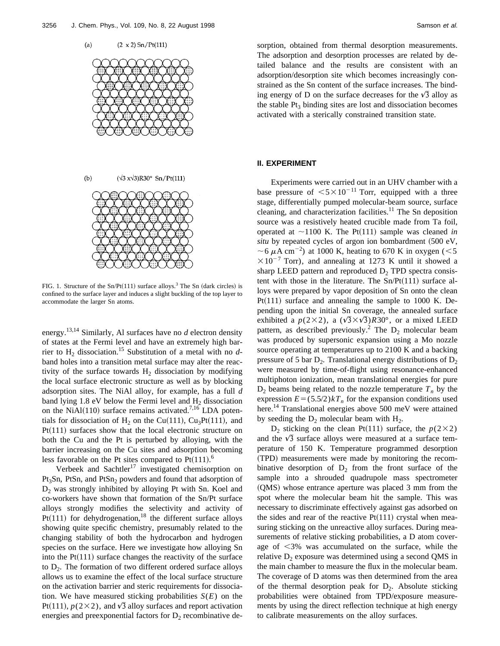





FIG. 1. Structure of the Sn/Pt(111) surface alloys.<sup>3</sup> The Sn (dark circles) is confined to the surface layer and induces a slight buckling of the top layer to accommodate the larger Sn atoms.

energy.13,14 Similarly, Al surfaces have no *d* electron density of states at the Fermi level and have an extremely high barrier to H2 dissociation.15 Substitution of a metal with no *d*band holes into a transition metal surface may alter the reactivity of the surface towards  $H_2$  dissociation by modifying the local surface electronic structure as well as by blocking adsorption sites. The NiAl alloy, for example, has a full *d* band lying  $1.8$  eV below the Fermi level and  $H<sub>2</sub>$  dissociation on the NiAl $(110)$  surface remains activated.<sup>7,16</sup> LDA potentials for dissociation of H<sub>2</sub> on the Cu(111), Cu<sub>3</sub>Pt(111), and  $Pt(111)$  surfaces show that the local electronic structure on both the Cu and the Pt is perturbed by alloying, with the barrier increasing on the Cu sites and adsorption becoming less favorable on the Pt sites compared to  $Pt(111).<sup>6</sup>$ 

Verbeek and Sachtler<sup>17</sup> investigated chemisorption on Pt<sub>3</sub>Sn, PtSn, and PtSn<sub>2</sub> powders and found that adsorption of  $D_2$  was strongly inhibited by alloying Pt with Sn. Koel and co-workers have shown that formation of the Sn/Pt surface alloys strongly modifies the selectivity and activity of Pt $(111)$  for dehydrogenation,<sup>18</sup> the different surface alloys showing quite specific chemistry, presumably related to the changing stability of both the hydrocarbon and hydrogen species on the surface. Here we investigate how alloying Sn into the  $Pt(111)$  surface changes the reactivity of the surface to  $D_2$ . The formation of two different ordered surface alloys allows us to examine the effect of the local surface structure on the activation barrier and steric requirements for dissociation. We have measured sticking probabilities  $S(E)$  on the Pt(111),  $p(2\times2)$ , and  $\sqrt{3}$  alloy surfaces and report activation energies and preexponential factors for  $D_2$  recombinative desorption, obtained from thermal desorption measurements. The adsorption and desorption processes are related by detailed balance and the results are consistent with an adsorption/desorption site which becomes increasingly constrained as the Sn content of the surface increases. The binding energy of D on the surface decreases for the  $\sqrt{3}$  alloy as the stable  $Pt_3$  binding sites are lost and dissociation becomes activated with a sterically constrained transition state.

#### **II. EXPERIMENT**

Experiments were carried out in an UHV chamber with a base pressure of  $\leq 5 \times 10^{-11}$  Torr, equipped with a three stage, differentially pumped molecular-beam source, surface cleaning, and characterization facilities. $11$  The Sn deposition source was a resistively heated crucible made from Ta foil, operated at  $\sim$ 1100 K. The Pt(111) sample was cleaned *in situ* by repeated cycles of argon ion bombardment (500 eV, ~6  $\mu$ A cm<sup>-2</sup>) at 1000 K, heating to 670 K in oxygen (<5  $\times 10^{-7}$  Torr), and annealing at 1273 K until it showed a sharp LEED pattern and reproduced  $D_2$  TPD spectra consistent with those in the literature. The  $Sn/Pt(111)$  surface alloys were prepared by vapor deposition of Sn onto the clean Pt $(111)$  surface and annealing the sample to 1000 K. Depending upon the initial Sn coverage, the annealed surface exhibited a  $p(2\times2)$ , a  $(\sqrt{3}\times\sqrt{3})R30^{\circ}$ , or a mixed LEED pattern, as described previously.<sup>2</sup> The  $D_2$  molecular beam was produced by supersonic expansion using a Mo nozzle source operating at temperatures up to 2100 K and a backing pressure of 5 bar  $D_2$ . Translational energy distributions of  $D_2$ were measured by time-of-flight using resonance-enhanced multiphoton ionization, mean translational energies for pure  $D_2$  beams being related to the nozzle temperature  $T_n$  by the expression  $E = (5.5/2)kT_n$  for the expansion conditions used here.<sup>14</sup> Translational energies above 500 meV were attained by seeding the  $D_2$  molecular beam with  $H_2$ .

 $D_2$  sticking on the clean Pt(111) surface, the *p*(2×2) and the  $\sqrt{3}$  surface alloys were measured at a surface temperature of 150 K. Temperature programmed desorption (TPD) measurements were made by monitoring the recombinative desorption of  $D_2$  from the front surface of the sample into a shrouded quadrupole mass spectrometer (QMS) whose entrance aperture was placed 3 mm from the spot where the molecular beam hit the sample. This was necessary to discriminate effectively against gas adsorbed on the sides and rear of the reactive  $Pt(111)$  crystal when measuring sticking on the unreactive alloy surfaces. During measurements of relative sticking probabilities, a D atom coverage of  $\leq$ 3% was accumulated on the surface, while the relative  $D_2$  exposure was determined using a second QMS in the main chamber to measure the flux in the molecular beam. The coverage of D atoms was then determined from the area of the thermal desorption peak for  $D_2$ . Absolute sticking probabilities were obtained from TPD/exposure measurements by using the direct reflection technique at high energy to calibrate measurements on the alloy surfaces.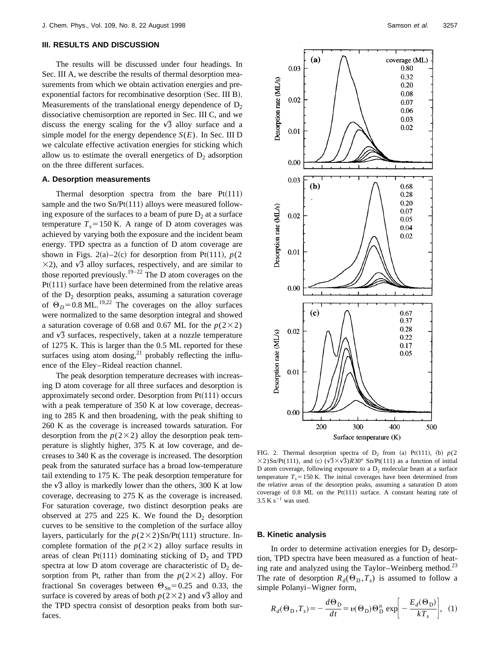### **III. RESULTS AND DISCUSSION**

The results will be discussed under four headings. In Sec. III A, we describe the results of thermal desorption measurements from which we obtain activation energies and preexponential factors for recombinative desorption (Sec. III B). Measurements of the translational energy dependence of  $D_2$ dissociative chemisorption are reported in Sec. III C, and we discuss the energy scaling for the  $\sqrt{3}$  alloy surface and a simple model for the energy dependence  $S(E)$ . In Sec. III D we calculate effective activation energies for sticking which allow us to estimate the overall energetics of  $D_2$  adsorption on the three different surfaces.

#### **A. Desorption measurements**

Thermal desorption spectra from the bare  $Pt(111)$ sample and the two  $Sn/Pt(111)$  alloys were measured following exposure of the surfaces to a beam of pure  $D_2$  at a surface temperature  $T_s = 150$  K. A range of D atom coverages was achieved by varying both the exposure and the incident beam energy. TPD spectra as a function of D atom coverage are shown in Figs. 2(a)–2(c) for desorption from Pt(111),  $p(2)$  $\times$ 2), and  $\sqrt{3}$  alloy surfaces, respectively, and are similar to those reported previously.<sup>19–22</sup> The D atom coverages on the  $Pt(111)$  surface have been determined from the relative areas of the  $D_2$  desorption peaks, assuming a saturation coverage of  $\Theta_D$ =0.8 ML.<sup>19,22</sup> The coverages on the alloy surfaces were normalized to the same desorption integral and showed a saturation coverage of 0.68 and 0.67 ML for the  $p(2\times2)$ and  $\sqrt{3}$  surfaces, respectively, taken at a nozzle temperature of 1275 K. This is larger than the 0.5 ML reported for these surfaces using atom dosing, $^{21}$  probably reflecting the influence of the Eley–Rideal reaction channel.

The peak desorption temperature decreases with increasing D atom coverage for all three surfaces and desorption is approximately second order. Desorption from  $Pt(111)$  occurs with a peak temperature of 350 K at low coverage, decreasing to 285 K and then broadening, with the peak shifting to 260 K as the coverage is increased towards saturation. For desorption from the  $p(2\times2)$  alloy the desorption peak temperature is slightly higher, 375 K at low coverage, and decreases to 340 K as the coverage is increased. The desorption peak from the saturated surface has a broad low-temperature tail extending to 175 K. The peak desorption temperature for the  $\sqrt{3}$  alloy is markedly lower than the others, 300 K at low coverage, decreasing to 275 K as the coverage is increased. For saturation coverage, two distinct desorption peaks are observed at 275 and 225 K. We found the  $D_2$  desorption curves to be sensitive to the completion of the surface alloy layers, particularly for the  $p(2\times2)$ Sn/Pt(111) structure. Incomplete formation of the  $p(2\times2)$  alloy surface results in areas of clean Pt $(111)$  dominating sticking of  $D_2$  and TPD spectra at low D atom coverage are characteristic of  $D_2$  desorption from Pt, rather than from the  $p(2\times2)$  alloy. For fractional Sn coverages between  $\Theta_{\text{Sn}}=0.25$  and 0.33, the surface is covered by areas of both  $p(2\times2)$  and  $\sqrt{3}$  alloy and the TPD spectra consist of desorption peaks from both surfaces.



FIG. 2. Thermal desorption spectra of  $D_2$  from (a) Pt(111), (b)  $p(2)$  $\times$ 2)Sn/Pt(111), and (c) ( $\sqrt{3}\times\sqrt{3}$ )*R*30° Sn/Pt(111) as a function of initial D atom coverage, following exposure to a  $D_2$  molecular beam at a surface temperature  $T_s$ =150 K. The initial coverages have been determined from the relative areas of the desorption peaks, assuming a saturation D atom coverage of 0.8 ML on the Pt $(111)$  surface. A constant heating rate of  $3.5$  K s<sup>-1</sup> was used.

#### **B. Kinetic analysis**

In order to determine activation energies for  $D_2$  desorption, TPD spectra have been measured as a function of heating rate and analyzed using the Taylor–Weinberg method.<sup>23</sup> The rate of desorption  $R_d(\Theta_D, T_s)$  is assumed to follow a simple Polanyi–Wigner form,

$$
R_d(\Theta_{\rm D}, T_s) = -\frac{d\Theta_{\rm D}}{dt} = v(\Theta_{\rm D})\Theta_{\rm D}^n \exp\left[-\frac{E_d(\Theta_{\rm D})}{kT_s}\right], (1)
$$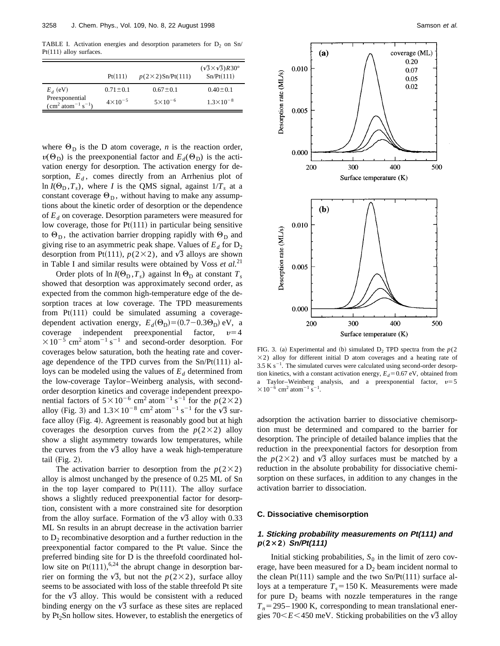TABLE I. Activation energies and desorption parameters for  $D_2$  on Sn/  $Pt(111)$  alloy surfaces.

|                                                       | Pt(111)            | $p(2\times 2)$ Sn/Pt(111) | $(\sqrt{3} \times \sqrt{3})R30^\circ$<br>Sn/Pt(111) |
|-------------------------------------------------------|--------------------|---------------------------|-----------------------------------------------------|
| $E_{d}$ (eV)                                          | $0.71 \pm 0.1$     | $0.67 \pm 0.1$            | $0.40 \pm 0.1$                                      |
| Preexponential<br>$\rm (cm^2 \, atom^{-1} \, s^{-1})$ | $4 \times 10^{-5}$ | $5 \times 10^{-6}$        | $1.3 \times 10^{-8}$                                |

where  $\Theta_{\text{D}}$  is the D atom coverage, *n* is the reaction order,  $v(\Theta_{\text{D}})$  is the preexponential factor and  $E_d(\Theta_{\text{D}})$  is the activation energy for desorption. The activation energy for desorption,  $E_d$ , comes directly from an Arrhenius plot of ln  $I(\Theta_{\text{D}}, T_s)$ , where *I* is the QMS signal, against  $1/T_s$  at a constant coverage  $\Theta_D$ , without having to make any assumptions about the kinetic order of desorption or the dependence of *Ed* on coverage. Desorption parameters were measured for low coverage, those for  $Pt(111)$  in particular being sensitive to  $\Theta_{\text{D}}$ , the activation barrier dropping rapidly with  $\Theta_{\text{D}}$  and giving rise to an asymmetric peak shape. Values of  $E_d$  for  $D_2$ desorption from Pt(111),  $p(2\times2)$ , and  $\sqrt{3}$  alloys are shown in Table I and similar results were obtained by Voss *et al.*<sup>21</sup>

Order plots of  $\ln I(\Theta_D, T_s)$  against  $\ln \Theta_D$  at constant  $T_s$ showed that desorption was approximately second order, as expected from the common high-temperature edge of the desorption traces at low coverage. The TPD measurements from  $Pt(111)$  could be simulated assuming a coveragedependent activation energy,  $E_d(\Theta_D) = (0.7 - 0.3\Theta_D)$  eV, a coverage independent preexponential factor,  $v=4$  $\times 10^{-5}$  cm<sup>2</sup> atom<sup>-1</sup> s<sup>-1</sup> and second-order desorption. For coverages below saturation, both the heating rate and coverage dependence of the TPD curves from the  $Sn/Pt(111)$  alloys can be modeled using the values of  $E_d$  determined from the low-coverage Taylor–Weinberg analysis, with secondorder desorption kinetics and coverage independent preexponential factors of  $5 \times 10^{-6}$  cm<sup>2</sup> atom<sup>-1</sup> s<sup>-1</sup> for the  $p(2\times2)$ alloy (Fig. 3) and  $1.3 \times 10^{-8}$  cm<sup>2</sup> atom<sup>-1</sup> s<sup>-1</sup> for the  $\sqrt{3}$  surface alloy (Fig. 4). Agreement is reasonably good but at high coverages the desorption curves from the  $p(2\times2)$  alloy show a slight asymmetry towards low temperatures, while the curves from the  $\sqrt{3}$  alloy have a weak high-temperature tail  $(Fig. 2)$ .

The activation barrier to desorption from the  $p(2\times2)$ alloy is almost unchanged by the presence of 0.25 ML of Sn in the top layer compared to  $Pt(111)$ . The alloy surface shows a slightly reduced preexponential factor for desorption, consistent with a more constrained site for desorption from the alloy surface. Formation of the  $\sqrt{3}$  alloy with 0.33 ML Sn results in an abrupt decrease in the activation barrier to  $D_2$  recombinative desorption and a further reduction in the preexponential factor compared to the Pt value. Since the preferred binding site for D is the threefold coordinated hollow site on Pt $(111),$ <sup>6,24</sup> the abrupt change in desorption barrier on forming the  $\sqrt{3}$ , but not the  $p(2\times2)$ , surface alloy seems to be associated with loss of the stable threefold Pt site for the  $\sqrt{3}$  alloy. This would be consistent with a reduced binding energy on the  $\sqrt{3}$  surface as these sites are replaced by  $Pt<sub>2</sub>Sn$  hollow sites. However, to establish the energetics of



FIG. 3. (a) Experimental and (b) simulated  $D_2$  TPD spectra from the  $p(2)$  $\times$ 2) alloy for different initial D atom coverages and a heating rate of  $3.5 K s^{-1}$ . The simulated curves were calculated using second-order desorption kinetics, with a constant activation energy,  $E_d$ =0.67 eV, obtained from a Taylor–Weinberg analysis, and a preexponential factor,  $v=5$  $\times 10^{-6}$  cm<sup>2</sup> atom<sup>-1</sup> s<sup>-1</sup>.

adsorption the activation barrier to dissociative chemisorption must be determined and compared to the barrier for desorption. The principle of detailed balance implies that the reduction in the preexponential factors for desorption from the  $p(2\times2)$  and  $\sqrt{3}$  alloy surfaces must be matched by a reduction in the absolute probability for dissociative chemisorption on these surfaces, in addition to any changes in the activation barrier to dissociation.

#### **C. Dissociative chemisorption**

#### **1. Sticking probability measurements on Pt(111) and <sup>p</sup>**"**2**3**2**… **Sn/Pt(111)**

Initial sticking probabilities,  $S_0$  in the limit of zero coverage, have been measured for a  $D_2$  beam incident normal to the clean Pt $(111)$  sample and the two Sn/Pt $(111)$  surface alloys at a temperature  $T_s = 150$  K. Measurements were made for pure  $D_2$  beams with nozzle temperatures in the range  $T_n$ =295–1900 K, corresponding to mean translational energies  $70\leq E\leq 450$  meV. Sticking probabilities on the  $\sqrt{3}$  alloy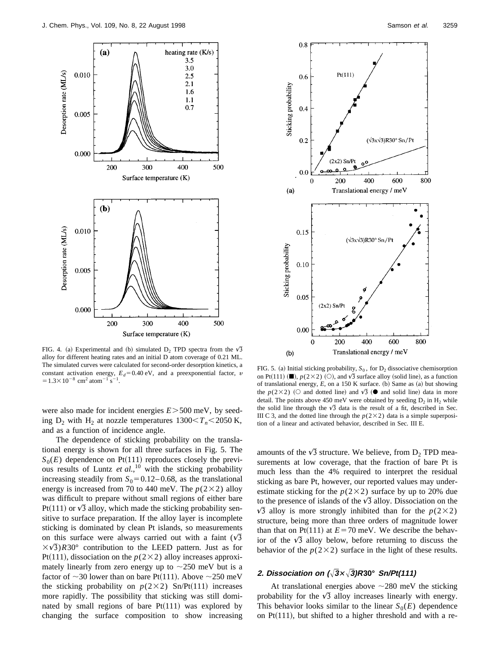

FIG. 4. (a) Experimental and (b) simulated  $D_2$  TPD spectra from the  $\sqrt{3}$ alloy for different heating rates and an initial D atom coverage of 0.21 ML. The simulated curves were calculated for second-order desorption kinetics, a constant activation energy,  $E_d$ =0.40 eV, and a preexponential factor, v  $= 1.3 \times 10^{-8}$  cm<sup>2</sup> atom<sup>-1</sup> s<sup>-1</sup>.

were also made for incident energies  $E > 500$  meV, by seeding  $D_2$  with  $H_2$  at nozzle temperatures  $1300 \le T_n \le 2050$  K, and as a function of incidence angle.

The dependence of sticking probability on the translational energy is shown for all three surfaces in Fig. 5. The  $S_0(E)$  dependence on Pt(111) reproduces closely the previous results of Luntz *et al.*, <sup>10</sup> with the sticking probability increasing steadily from  $S_0 = 0.12 - 0.68$ , as the translational energy is increased from 70 to 440 meV. The  $p(2\times2)$  alloy was difficult to prepare without small regions of either bare Pt(111) or  $\sqrt{3}$  alloy, which made the sticking probability sensitive to surface preparation. If the alloy layer is incomplete sticking is dominated by clean Pt islands, so measurements on this surface were always carried out with a faint  $(\sqrt{3})$  $\times\sqrt{3}$ ) $R30^\circ$  contribution to the LEED pattern. Just as for Pt(111), dissociation on the  $p(2\times2)$  alloy increases approximately linearly from zero energy up to  $\sim$ 250 meV but is a factor of  $\sim$ 30 lower than on bare Pt(111). Above  $\sim$ 250 meV the sticking probability on  $p(2\times2)$  Sn/Pt(111) increases more rapidly. The possibility that sticking was still dominated by small regions of bare  $Pt(111)$  was explored by changing the surface composition to show increasing



FIG. 5. (a) Initial sticking probability,  $S_0$ , for  $D_2$  dissociative chemisorption on Pt(111) ( $\blacksquare$ ),  $p(2\times2)$  ( $\bigcirc$ ), and  $\sqrt{3}$  surface alloy (solid line), as a function of translational energy, *E*, on a 150 K surface. (b) Same as (a) but showing the  $p(2\times2)$  ( $\circ$  and dotted line) and  $\sqrt{3}$  ( $\bullet$  and solid line) data in more detail. The points above 450 meV were obtained by seeding  $D_2$  in  $H_2$  while the solid line through the  $\sqrt{3}$  data is the result of a fit, described in Sec. III C 3, and the dotted line through the  $p(2\times2)$  data is a simple superposition of a linear and activated behavior, described in Sec. III E.

amounts of the  $\sqrt{3}$  structure. We believe, from  $D_2$  TPD measurements at low coverage, that the fraction of bare Pt is much less than the 4% required to interpret the residual sticking as bare Pt, however, our reported values may underestimate sticking for the  $p(2\times2)$  surface by up to 20% due to the presence of islands of the  $\sqrt{3}$  alloy. Dissociation on the  $\sqrt{3}$  alloy is more strongly inhibited than for the  $p(2\times2)$ structure, being more than three orders of magnitude lower than that on Pt $(111)$  at  $E=70$  meV. We describe the behavior of the  $\sqrt{3}$  alloy below, before returning to discuss the behavior of the  $p(2\times2)$  surface in the light of these results.

#### **2.** Dissociation on  $(\sqrt{3} \times \sqrt{3})R30^{\circ}$  Sn/Pt(111)

At translational energies above  $\sim$  280 meV the sticking probability for the  $\sqrt{3}$  alloy increases linearly with energy. This behavior looks similar to the linear  $S_0(E)$  dependence on  $Pt(111)$ , but shifted to a higher threshold and with a re-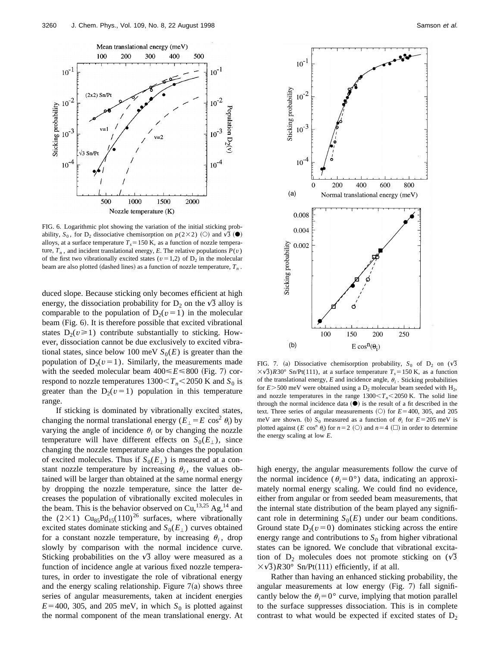

FIG. 6. Logarithmic plot showing the variation of the initial sticking probability,  $S_0$ , for D<sub>2</sub> dissociative chemisorption on  $p(2\times2)$  (O) and  $\sqrt{3}$  ( $\bullet$ ) alloys, at a surface temperature  $T<sub>s</sub>$  = 150 K, as a function of nozzle temperature,  $T_n$ , and incident translational energy, *E*. The relative populations  $P(v)$ of the first two vibrationally excited states ( $v=1,2$ ) of D<sub>2</sub> in the molecular beam are also plotted (dashed lines) as a function of nozzle temperature,  $T<sub>n</sub>$ .

duced slope. Because sticking only becomes efficient at high energy, the dissociation probability for  $D_2$  on the  $\sqrt{3}$  alloy is comparable to the population of  $D_2(v=1)$  in the molecular beam (Fig. 6). It is therefore possible that excited vibrational states  $D_2(v\geq 1)$  contribute substantially to sticking. However, dissociation cannot be due exclusively to excited vibrational states, since below 100 meV  $S_0(E)$  is greater than the population of  $D_2(v=1)$ . Similarly, the measurements made with the seeded molecular beam  $400 \le E \le 800$  (Fig. 7) correspond to nozzle temperatures  $1300 < T_n < 2050$  K and  $S_0$  is greater than the  $D_2(v=1)$  population in this temperature range.

If sticking is dominated by vibrationally excited states, changing the normal translational energy  $(E_{\perp} = E \cos^2 \theta_i)$  by varying the angle of incidence  $\theta_i$  or by changing the nozzle temperature will have different effects on  $S_0(E_+)$ , since changing the nozzle temperature also changes the population of excited molecules. Thus if  $S_0(E_+)$  is measured at a constant nozzle temperature by increasing  $\theta_i$ , the values obtained will be larger than obtained at the same normal energy by dropping the nozzle temperature, since the latter decreases the population of vibrationally excited molecules in the beam. This is the behavior observed on Cu,<sup>13,25</sup> Ag,<sup>14</sup> and the (2×1) Cu<sub>85</sub>Pd<sub>15</sub>(110)<sup>26</sup> surfaces, where vibrationally excited states dominate sticking and  $S_0(E_\perp)$  curves obtained for a constant nozzle temperature, by increasing  $\theta_i$ , drop slowly by comparison with the normal incidence curve. Sticking probabilities on the  $\sqrt{3}$  alloy were measured as a function of incidence angle at various fixed nozzle temperatures, in order to investigate the role of vibrational energy and the energy scaling relationship. Figure  $7(a)$  shows three series of angular measurements, taken at incident energies  $E=400$ , 305, and 205 meV, in which  $S_0$  is plotted against the normal component of the mean translational energy. At



FIG. 7. (a) Dissociative chemisorption probability,  $S_0$  of  $D_2$  on  $(\sqrt{3})$  $\langle \sqrt{3} \rangle R30^\circ$  Sn/Pt(111), at a surface temperature  $T_s = 150$  K, as a function of the translational energy,  $E$  and incidence angle,  $\theta_i$ . Sticking probabilities for  $E$  > 500 meV were obtained using a  $D_2$  molecular beam seeded with  $H_2$ , and nozzle temperatures in the range  $1300 \le T_n \le 2050$  K. The solid line through the normal incidence data  $(①)$  is the result of a fit described in the text. Three series of angular measurements  $(O)$  for  $E=400$ , 305, and 205 meV are shown. (b)  $S_0$  measured as a function of  $\theta_i$  for  $E=205$  meV is plotted against (*E* cos<sup>*n*</sup>  $\theta$ <sub>*i*</sub>) for *n*=2 (○) and *n*=4 (□) in order to determine the energy scaling at low *E*.

high energy, the angular measurements follow the curve of the normal incidence ( $\theta_i = 0^\circ$ ) data, indicating an approximately normal energy scaling. We could find no evidence, either from angular or from seeded beam measurements, that the internal state distribution of the beam played any significant role in determining  $S_0(E)$  under our beam conditions. Ground state  $D_2(v=0)$  dominates sticking across the entire energy range and contributions to  $S_0$  from higher vibrational states can be ignored. We conclude that vibrational excitation of  $D_2$  molecules does not promote sticking on  $(\sqrt{3})$  $\times \sqrt{3}$ )*R*30° Sn/Pt(111) efficiently, if at all.

Rather than having an enhanced sticking probability, the angular measurements at low energy  $(Fig. 7)$  fall significantly below the  $\theta_i = 0^\circ$  curve, implying that motion parallel to the surface suppresses dissociation. This is in complete contrast to what would be expected if excited states of  $D_2$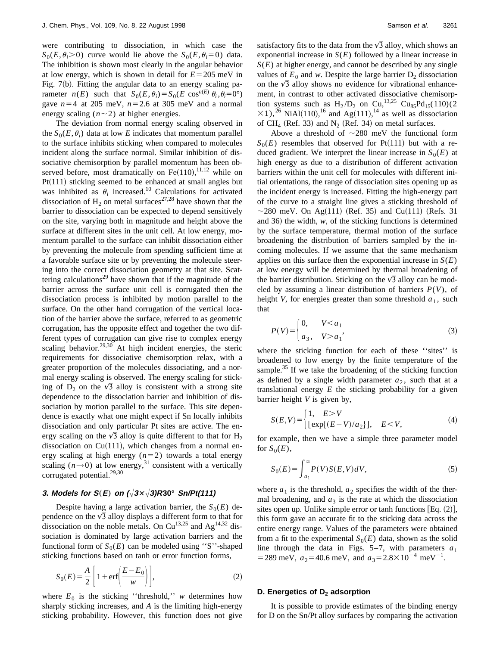were contributing to dissociation, in which case the  $S_0(E, \theta_i > 0)$  curve would lie above the  $S_0(E, \theta_i = 0)$  data. The inhibition is shown most clearly in the angular behavior at low energy, which is shown in detail for  $E = 205$  meV in Fig.  $7(b)$ . Fitting the angular data to an energy scaling parameter  $n(E)$  such that  $S_0(E, \theta_i) = S_0(E \cos^{n(E)} \theta_i, \theta_i = 0^\circ)$ gave  $n=4$  at 205 meV,  $n=2.6$  at 305 meV and a normal energy scaling  $(n \sim 2)$  at higher energies.

The deviation from normal energy scaling observed in the  $S_0(E, \theta_i)$  data at low *E* indicates that momentum parallel to the surface inhibits sticking when compared to molecules incident along the surface normal. Similar inhibition of dissociative chemisorption by parallel momentum has been observed before, most dramatically on  $Fe(110),^{11,12}$  while on  $Pt(111)$  sticking seemed to be enhanced at small angles but was inhibited as  $\theta_i$  increased.<sup>10</sup> Calculations for activated dissociation of  $H_2$  on metal surfaces<sup>27,28</sup> have shown that the barrier to dissociation can be expected to depend sensitively on the site, varying both in magnitude and height above the surface at different sites in the unit cell. At low energy, momentum parallel to the surface can inhibit dissociation either by preventing the molecule from spending sufficient time at a favorable surface site or by preventing the molecule steering into the correct dissociation geometry at that site. Scattering calculations<sup>29</sup> have shown that if the magnitude of the barrier across the surface unit cell is corrugated then the dissociation process is inhibited by motion parallel to the surface. On the other hand corrugation of the vertical location of the barrier above the surface, referred to as geometric corrugation, has the opposite effect and together the two different types of corrugation can give rise to complex energy scaling behavior.<sup>29,30</sup> At high incident energies, the steric requirements for dissociative chemisorption relax, with a greater proportion of the molecules dissociating, and a normal energy scaling is observed. The energy scaling for sticking of  $D_2$  on the  $\sqrt{3}$  alloy is consistent with a strong site dependence to the dissociation barrier and inhibition of dissociation by motion parallel to the surface. This site dependence is exactly what one might expect if Sn locally inhibits dissociation and only particular Pt sites are active. The energy scaling on the  $\sqrt{3}$  alloy is quite different to that for H<sub>2</sub> dissociation on  $Cu(111)$ , which changes from a normal energy scaling at high energy  $(n=2)$  towards a total energy scaling  $(n \rightarrow 0)$  at low energy,<sup>31</sup> consistent with a vertically corrugated potential.<sup>29,30</sup>

## **3.** Models for  $S(E)$  on  $(\sqrt{3} \times \sqrt{3})R30^{\circ}$  Sn/Pt(111)

Despite having a large activation barrier, the  $S_0(E)$  dependence on the  $\sqrt{3}$  alloy displays a different form to that for dissociation on the noble metals. On  $Cu^{13,25}$  and  $Ag^{14,32}$  dissociation is dominated by large activation barriers and the functional form of  $S_0(E)$  can be modeled using "S"-shaped sticking functions based on tanh or error function forms,

$$
S_0(E) = \frac{A}{2} \left[ 1 + \text{erf}\left(\frac{E - E_0}{w}\right) \right],\tag{2}
$$

where  $E_0$  is the sticking "threshold," *w* determines how sharply sticking increases, and *A* is the limiting high-energy sticking probability. However, this function does not give

satisfactory fits to the data from the  $\sqrt{3}$  alloy, which shows an exponential increase in *S*(*E*) followed by a linear increase in  $S(E)$  at higher energy, and cannot be described by any single values of  $E_0$  and *w*. Despite the large barrier  $D_2$  dissociation on the  $\sqrt{3}$  alloy shows no evidence for vibrational enhancement, in contrast to other activated dissociative chemisorption systems such as  $H_2/D_2$  on Cu,<sup>13,25</sup> Cu<sub>85</sub>Pd<sub>15</sub>(110)(2)  $\times$ 1),<sup>26</sup> NiAl(110),<sup>16</sup> and Ag(111),<sup>14</sup> as well as dissociation of  $CH_4$  (Ref. 33) and N<sub>2</sub> (Ref. 34) on metal surfaces.

Above a threshold of  $\sim$ 280 meV the functional form  $S_0(E)$  resembles that observed for Pt(111) but with a reduced gradient. We interpret the linear increase in  $S_0(E)$  at high energy as due to a distribution of different activation barriers within the unit cell for molecules with different initial orientations, the range of dissociation sites opening up as the incident energy is increased. Fitting the high-energy part of the curve to a straight line gives a sticking threshold of  $\sim$ 280 meV. On Ag(111) (Ref. 35) and Cu(111) (Refs. 31 and 36) the width,  $w$ , of the sticking functions is determined by the surface temperature, thermal motion of the surface broadening the distribution of barriers sampled by the incoming molecules. If we assume that the same mechanism applies on this surface then the exponential increase in  $S(E)$ at low energy will be determined by thermal broadening of the barrier distribution. Sticking on the  $\sqrt{3}$  alloy can be modeled by assuming a linear distribution of barriers *P*(*V*), of height *V*, for energies greater than some threshold  $a_1$ , such that

$$
P(V) = \begin{cases} 0, & V < a_1 \\ a_3, & V > a_1 \end{cases}
$$
 (3)

where the sticking function for each of these ''sites'' is broadened to low energy by the finite temperature of the sample.<sup>35</sup> If we take the broadening of the sticking function as defined by a single width parameter  $a_2$ , such that at a translational energy *E* the sticking probability for a given barrier height *V* is given by,

$$
S(E,V) = \begin{cases} 1, & E > V \\ \left[ \exp\{ (E-V)/a_2 \} \right], & E < V, \end{cases} \tag{4}
$$

for example, then we have a simple three parameter model for  $S_0(E)$ ,

$$
S_0(E) = \int_{a_1}^{\infty} P(V)S(E,V)dV,
$$
\n(5)

where  $a_1$  is the threshold,  $a_2$  specifies the width of the thermal broadening, and  $a_3$  is the rate at which the dissociation sites open up. Unlike simple error or tanh functions  $[Eq. (2)],$ this form gave an accurate fit to the sticking data across the entire energy range. Values of the parameters were obtained from a fit to the experimental  $S_0(E)$  data, shown as the solid line through the data in Figs.  $5-7$ , with parameters  $a_1$ = 289 meV,  $a_2$  = 40.6 meV, and  $a_3$  = 2.8 × 10<sup>-4</sup> meV<sup>-1</sup>.

#### **D. Energetics of D<sub>2</sub> adsorption**

It is possible to provide estimates of the binding energy for D on the Sn/Pt alloy surfaces by comparing the activation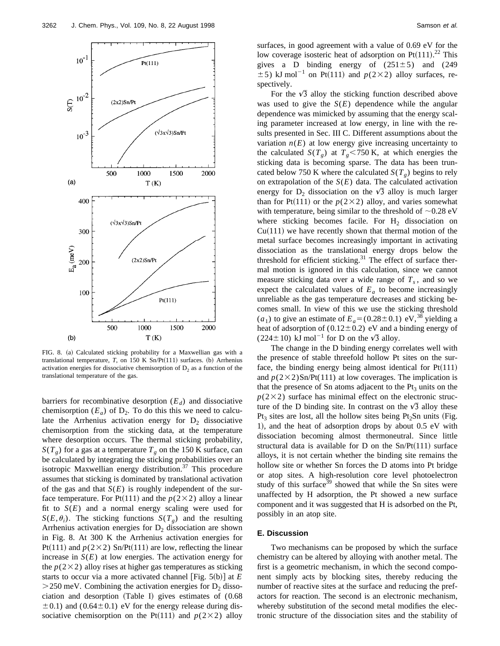

FIG. 8. (a) Calculated sticking probability for a Maxwellian gas with a translational temperature,  $T$ , on 150 K Sn/Pt $(111)$  surfaces. (b) Arrhenius activation energies for dissociative chemisorption of  $D<sub>2</sub>$  as a function of the translational temperature of the gas.

barriers for recombinative desorption  $(E_d)$  and dissociative chemisorption  $(E_a)$  of  $D_2$ . To do this this we need to calculate the Arrhenius activation energy for  $D_2$  dissociative chemisorption from the sticking data, at the temperature where desorption occurs. The thermal sticking probability,  $S(T_g)$  for a gas at a temperature  $T_g$  on the 150 K surface, can be calculated by integrating the sticking probabilities over an isotropic Maxwellian energy distribution.<sup>37</sup> This procedure assumes that sticking is dominated by translational activation of the gas and that  $S(E)$  is roughly independent of the surface temperature. For Pt(111) and the  $p(2\times2)$  alloy a linear fit to  $S(E)$  and a normal energy scaling were used for  $S(E, \theta_i)$ . The sticking functions  $S(T)$  and the resulting Arrhenius activation energies for  $D_2$  dissociation are shown in Fig. 8. At 300 K the Arrhenius activation energies for Pt(111) and  $p(2\times2)$  Sn/Pt(111) are low, reflecting the linear increase in  $S(E)$  at low energies. The activation energy for the  $p(2\times2)$  alloy rises at higher gas temperatures as sticking starts to occur via a more activated channel  $[Fig. 5(b)]$  at  $E$  $>$  250 meV. Combining the activation energies for D<sub>2</sub> dissociation and desorption  $(Table I)$  gives estimates of  $(0.68)$  $\pm$  0.1) and (0.64 $\pm$ 0.1) eV for the energy release during dissociative chemisorption on the Pt(111) and  $p(2\times2)$  alloy surfaces, in good agreement with a value of 0.69 eV for the low coverage isosteric heat of adsorption on Pt $(111).^{22}$  This gives a D binding energy of  $(251\pm5)$  and  $(249)$  $\pm$  5) kJ mol<sup>-1</sup> on Pt(111) and  $p(2\times2)$  alloy surfaces, respectively.

For the  $\sqrt{3}$  alloy the sticking function described above was used to give the  $S(E)$  dependence while the angular dependence was mimicked by assuming that the energy scaling parameter increased at low energy, in line with the results presented in Sec. III C. Different assumptions about the variation  $n(E)$  at low energy give increasing uncertainty to the calculated *S*( $T_g$ ) at  $T_g$ <750 K, at which energies the sticking data is becoming sparse. The data has been truncated below 750 K where the calculated  $S(T_g)$  begins to rely on extrapolation of the  $S(E)$  data. The calculated activation energy for  $D_2$  dissociation on the  $\sqrt{3}$  alloy is much larger than for Pt(111) or the  $p(2\times2)$  alloy, and varies somewhat with temperature, being similar to the threshold of  $\sim 0.28 \text{ eV}$ where sticking becomes facile. For  $H_2$  dissociation on  $Cu(111)$  we have recently shown that thermal motion of the metal surface becomes increasingly important in activating dissociation as the translational energy drops below the threshold for efficient sticking. $31$  The effect of surface thermal motion is ignored in this calculation, since we cannot measure sticking data over a wide range of  $T<sub>s</sub>$ , and so we expect the calculated values of  $E_a$  to become increasingly unreliable as the gas temperature decreases and sticking becomes small. In view of this we use the sticking threshold  $(a_1)$  to give an estimate of  $E_a = (0.28 \pm 0.1)$  eV,<sup>38</sup> yielding a heat of adsorption of  $(0.12 \pm 0.2)$  eV and a binding energy of (224 $\pm$ 10) kJ mol<sup>-1</sup> for D on the  $\sqrt{3}$  alloy.

The change in the D binding energy correlates well with the presence of stable threefold hollow Pt sites on the surface, the binding energy being almost identical for  $Pt(111)$ and  $p(2\times2)$ Sn/Pt(111) at low coverages. The implication is that the presence of Sn atoms adjacent to the  $Pt_3$  units on the  $p(2\times2)$  surface has minimal effect on the electronic structure of the D binding site. In contrast on the  $\sqrt{3}$  alloy these Pt<sub>3</sub> sites are lost, all the hollow sites being Pt<sub>2</sub>Sn units (Fig. 1), and the heat of adsorption drops by about 0.5 eV with dissociation becoming almost thermoneutral. Since little structural data is available for D on the  $Sn/Pt(111)$  surface alloys, it is not certain whether the binding site remains the hollow site or whether Sn forces the D atoms into Pt bridge or atop sites. A high-resolution core level photoelectron study of this surface $39$  showed that while the Sn sites were unaffected by H adsorption, the Pt showed a new surface component and it was suggested that H is adsorbed on the Pt, possibly in an atop site.

#### **E. Discussion**

Two mechanisms can be proposed by which the surface chemistry can be altered by alloying with another metal. The first is a geometric mechanism, in which the second component simply acts by blocking sites, thereby reducing the number of reactive sites at the surface and reducing the prefactors for reaction. The second is an electronic mechanism, whereby substitution of the second metal modifies the electronic structure of the dissociation sites and the stability of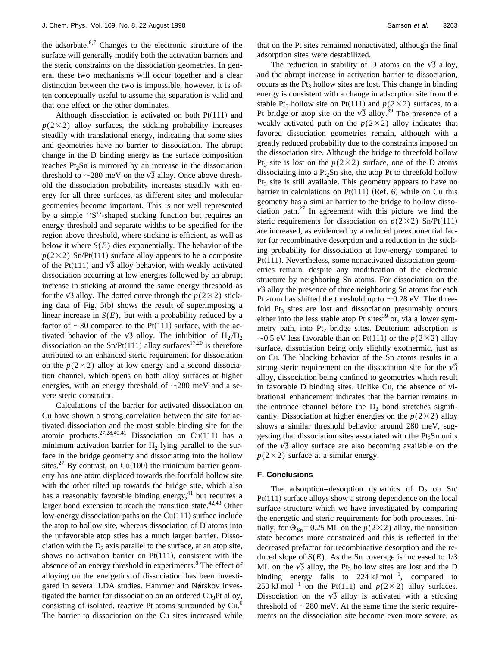the adsorbate. $6,7$  Changes to the electronic structure of the surface will generally modify both the activation barriers and the steric constraints on the dissociation geometries. In general these two mechanisms will occur together and a clear distinction between the two is impossible, however, it is often conceptually useful to assume this separation is valid and that one effect or the other dominates.

Although dissociation is activated on both  $Pt(111)$  and  $p(2\times2)$  alloy surfaces, the sticking probability increases steadily with translational energy, indicating that some sites and geometries have no barrier to dissociation. The abrupt change in the D binding energy as the surface composition reaches  $Pt<sub>2</sub>Sn$  is mirrored by an increase in the dissociation threshold to  $\sim$ 280 meV on the  $\sqrt{3}$  alloy. Once above threshold the dissociation probability increases steadily with energy for all three surfaces, as different sites and molecular geometries become important. This is not well represented by a simple ''S''-shaped sticking function but requires an energy threshold and separate widths to be specified for the region above threshold, where sticking is efficient, as well as below it where  $S(E)$  dies exponentially. The behavior of the  $p(2\times2)$  Sn/Pt(111) surface alloy appears to be a composite of the Pt(111) and  $\sqrt{3}$  alloy behavior, with weakly activated dissociation occurring at low energies followed by an abrupt increase in sticking at around the same energy threshold as for the  $\sqrt{3}$  alloy. The dotted curve through the  $p(2\times2)$  sticking data of Fig.  $5(b)$  shows the result of superimposing a linear increase in  $S(E)$ , but with a probability reduced by a factor of  $\sim$ 30 compared to the Pt(111) surface, with the activated behavior of the  $\sqrt{3}$  alloy. The inhibition of H<sub>2</sub>/D<sub>2</sub> dissociation on the Sn/Pt(111) alloy surfaces<sup>17,20</sup> is therefore attributed to an enhanced steric requirement for dissociation on the  $p(2\times2)$  alloy at low energy and a second dissociation channel, which opens on both alloy surfaces at higher energies, with an energy threshold of  $\sim$ 280 meV and a severe steric constraint.

Calculations of the barrier for activated dissociation on Cu have shown a strong correlation between the site for activated dissociation and the most stable binding site for the atomic products.<sup>27,28,40,41</sup> Dissociation on Cu(111) has a minimum activation barrier for  $H_2$  lying parallel to the surface in the bridge geometry and dissociating into the hollow sites.<sup>27</sup> By contrast, on Cu(100) the minimum barrier geometry has one atom displaced towards the fourfold hollow site with the other tilted up towards the bridge site, which also has a reasonably favorable binding energy,<sup>41</sup> but requires a larger bond extension to reach the transition state.<sup>42,43</sup> Other low-energy dissociation paths on the  $Cu(111)$  surface include the atop to hollow site, whereas dissociation of D atoms into the unfavorable atop sties has a much larger barrier. Dissociation with the  $D_2$  axis parallel to the surface, at an atop site, shows no activation barrier on Pt $(111)$ , consistent with the absence of an energy threshold in experiments.<sup>6</sup> The effect of alloying on the energetics of dissociation has been investigated in several LDA studies. Hammer and Nørskov investigated the barrier for dissociation on an ordered  $Cu<sub>3</sub>Pt$  alloy, consisting of isolated, reactive Pt atoms surrounded by Cu.<sup>6</sup> The barrier to dissociation on the Cu sites increased while that on the Pt sites remained nonactivated, although the final adsorption sites were destabilized.

The reduction in stability of D atoms on the  $\sqrt{3}$  alloy, and the abrupt increase in activation barrier to dissociation, occurs as the  $Pt_3$  hollow sites are lost. This change in binding energy is consistent with a change in adsorption site from the stable Pt<sub>3</sub> hollow site on Pt(111) and  $p(2\times2)$  surfaces, to a Pt bridge or atop site on the  $\sqrt{3}$  alloy.<sup>39</sup> The presence of a weakly activated path on the  $p(2\times2)$  alloy indicates that favored dissociation geometries remain, although with a greatly reduced probability due to the constraints imposed on the dissociation site. Although the bridge to threefold hollow Pt<sub>3</sub> site is lost on the  $p(2\times2)$  surface, one of the D atoms dissociating into a  $Pt_2Sn$  site, the atop Pt to threefold hollow  $Pt<sub>3</sub>$  site is still available. This geometry appears to have no barrier in calculations on Pt $(111)$  (Ref. 6) while on Cu this geometry has a similar barrier to the bridge to hollow dissociation path. $27$  In agreement with this picture we find the steric requirements for dissociation on  $p(2\times2)$  Sn/Pt(111) are increased, as evidenced by a reduced preexponential factor for recombinative desorption and a reduction in the sticking probability for dissociation at low-energy compared to  $Pt(111)$ . Nevertheless, some nonactivated dissociation geometries remain, despite any modification of the electronic structure by neighboring Sn atoms. For dissociation on the  $\sqrt{3}$  alloy the presence of three neighboring Sn atoms for each Pt atom has shifted the threshold up to  $\sim 0.28$  eV. The threefold  $Pt_3$  sites are lost and dissociation presumably occurs either into the less stable atop Pt sites $39$  or, via a lower symmetry path, into  $Pt_2$  bridge sites. Deuterium adsorption is  $\sim$ 0.5 eV less favorable than on Pt(111) or the *p*(2×2) alloy surface, dissociation being only slightly exothermic, just as on Cu. The blocking behavior of the Sn atoms results in a strong steric requirement on the dissociation site for the  $\sqrt{3}$ alloy, dissociation being confined to geometries which result in favorable D binding sites. Unlike Cu, the absence of vibrational enhancement indicates that the barrier remains in the entrance channel before the  $D_2$  bond stretches significantly. Dissociation at higher energies on the  $p(2\times2)$  alloy shows a similar threshold behavior around 280 meV, suggesting that dissociation sites associated with the  $Pt<sub>2</sub>Sn$  units of the  $\sqrt{3}$  alloy surface are also becoming available on the  $p(2\times2)$  surface at a similar energy.

#### **F. Conclusions**

The adsorption–desorption dynamics of  $D_2$  on Sn/  $Pt(111)$  surface alloys show a strong dependence on the local surface structure which we have investigated by comparing the energetic and steric requirements for both processes. Initially, for  $\Theta_{\text{Sn}}=0.25$  ML on the  $p(2\times2)$  alloy, the transition state becomes more constrained and this is reflected in the decreased prefactor for recombinative desorption and the reduced slope of  $S(E)$ . As the Sn coverage is increased to  $1/3$ ML on the  $\sqrt{3}$  alloy, the Pt<sub>3</sub> hollow sites are lost and the D binding energy falls to  $224 \text{ kJ} \text{ mol}^{-1}$ , compared to 250 kJ mol<sup>-1</sup> on the Pt(111) and  $p(2\times2)$  alloy surfaces. Dissociation on the  $\sqrt{3}$  alloy is activated with a sticking threshold of  $\sim$ 280 meV. At the same time the steric requirements on the dissociation site become even more severe, as